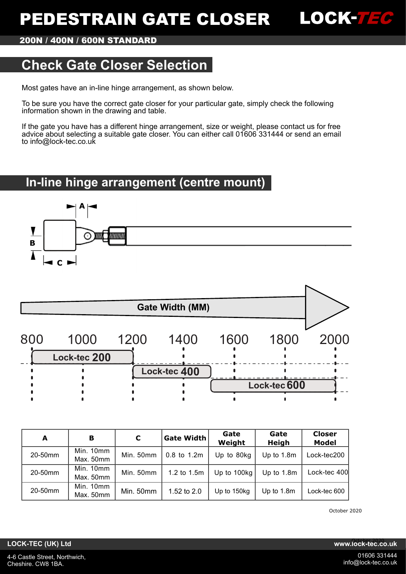# **PEDESTRAIN GATE CLOSER**



**200N / 400N / 600N STANDARD**

# **Check Gate Closer Selection**

Most gates have an in-line hinge arrangement, as shown below.

To be sure you have the correct gate closer for your particular gate, simply check the following information shown in the drawing and table.

If the gate you have has a different hinge arrangement, size or weight, please contact us for free advice about selecting a suitable gate closer. You can either call 01606 331444 or send an email to info@lock-tec.co.uk

# **In-line hinge arrangement (centre mount)**



|     |              |      | <b>Gate Width (MM)</b> |      |              |      |
|-----|--------------|------|------------------------|------|--------------|------|
| 800 | 1000         | 1200 | 1400                   | 1600 | 1800         | 2000 |
|     | Lock-tec 200 |      |                        |      |              |      |
|     |              |      | Lock-tec 400           |      |              |      |
|     |              |      |                        |      | Lock-tec 600 |      |
|     |              |      |                        |      |              |      |

| A       | в                                   | C         | <b>Gate Width</b>          | Gate<br>Gate<br>Weight<br>Heigh |            | <b>Closer</b><br><b>Model</b> |  |
|---------|-------------------------------------|-----------|----------------------------|---------------------------------|------------|-------------------------------|--|
| 20-50mm | Min. 10mm<br>Max. 50mm              | Min. 50mm | $0.8$ to 1.2m              | Up to 80kg                      | Up to 1.8m | Lock-tec200                   |  |
| 20-50mm | Min. 10mm<br>Max. 50mm              | Min. 50mm | Up to 100kg<br>1.2 to 1.5m |                                 | Up to 1.8m | Lock-tec 400                  |  |
| 20-50mm | Min. 10mm<br>Min. 50mm<br>Max. 50mm |           | 1.52 to 2.0                | Up to 150kg                     | Up to 1.8m | Lock-tec 600                  |  |

October 2020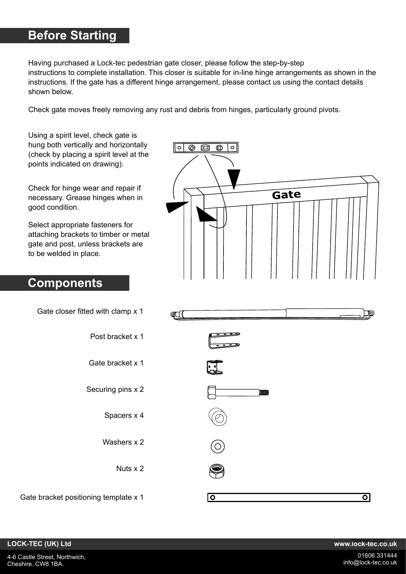# **Before Starting**

Having purchased a Lock-tec pedestrian gate closer, please follow the step-by-step instructions to complete installation. This closer is suitable for in-line hinge arrangements as shown in the instructions. If the gate has a different hinge arrangement, please contact us using the contact details shown below.

Check gate moves freely removing any rust and debris from hinges, particularly ground pivots.

Using a spirit level, check gate is hung both vertically and horizontally (check by placing a spirit level at the points indicated on drawing).

Check for hinge wear and repair if necessary. Grease hinges when in good condition.

Select appropriate fasteners for attaching brackets to timber or metal gate and post, unless brackets are to be welded in place.

# **Components**

| $\bigoplus$<br>国<br>⊗<br>$\circ$<br>c |  |      |  |  |
|---------------------------------------|--|------|--|--|
|                                       |  | Gate |  |  |

|         | Gate closer fitted with clamp x 1     |
|---------|---------------------------------------|
|         | Post bracket x 1                      |
|         | Gate bracket x 1                      |
| WWW     | Securing pins x 2                     |
|         | Spacers x 4                           |
|         | Washers x 2                           |
|         | Nuts x 2                              |
| $\circ$ | Gate bracket positioning template x 1 |

### **LOCK-TEC (UK) Ltd www.lock-tec.co.uk** October 2020

তা

⊡∎⊡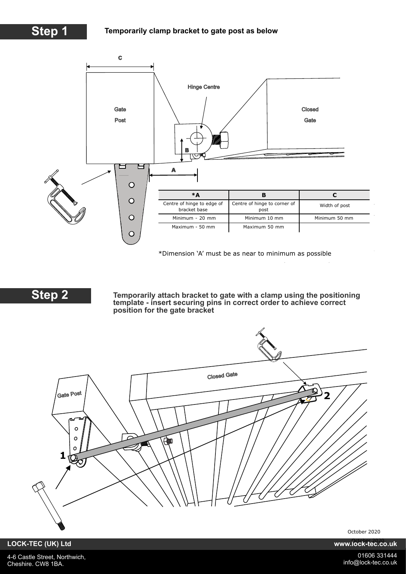

\*Dimension 'A' must be as near to minimum as possible



**Temporarily attach bracket to gate with a clamp using the positioning template - insert securing pins in correct order to achieve correct position for the gate bracket**



October 2020

**LOCK-TEC (UK) Ltd www.lock-tec.co.uk** October 2020

4-6 Castle Street, Northwich, Cheshire. CW8 1BA.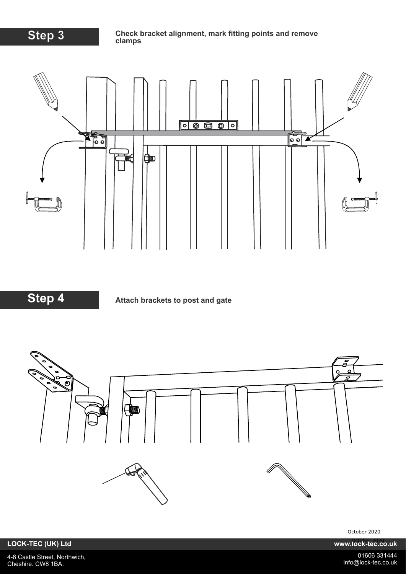

### **Step 3 Check bracket alignment, mark fitting points and remove clamps**



**Step 4 Attach brackets to post and gate** 



October 2020

**LOCK-TEC (UK) Ltd www.lock-tec.co.uk** OCK-TEC (UK) Ltd

4-6 Castle Street, Northwich, Cheshire. CW8 1BA.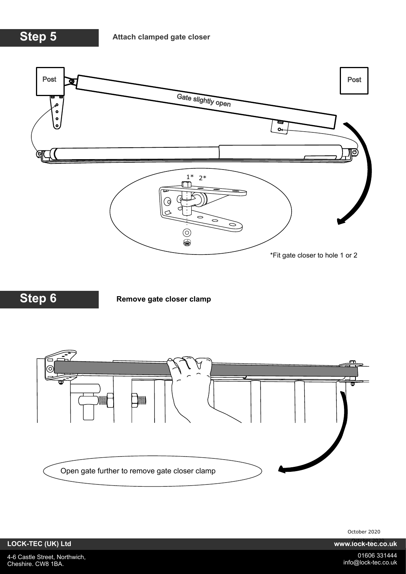**Step 5**



**Step 6**

**Remove gate closer clamp**



October 2020

**LOCK-TEC (UK) Ltd www.lock-tec.co.uk** OCK-TEC (UK) Ltd

4-6 Castle Street, Northwich, Cheshire. CW8 1BA.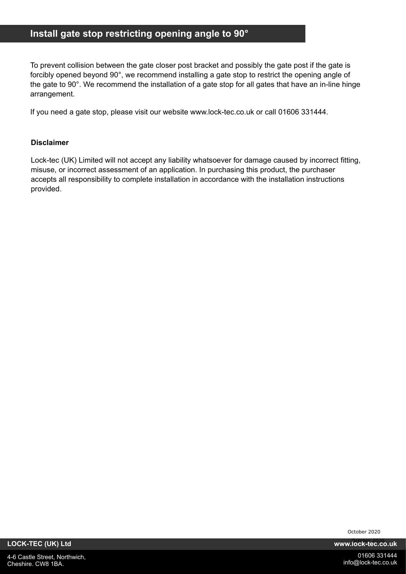# **Install gate stop restricting opening angle to 90°**

To prevent collision between the gate closer post bracket and possibly the gate post if the gate is forcibly opened beyond 90°, we recommend installing a gate stop to restrict the opening angle of the gate to 90°. We recommend the installation of a gate stop for all gates that have an in-line hinge arrangement.

If you need a gate stop, please visit our website www.lock-tec.co.uk or call 01606 331444.

### **Disclaimer**

Lock-tec (UK) Limited will not accept any liability whatsoever for damage caused by incorrect fitting, misuse, or incorrect assessment of an application. In purchasing this product, the purchaser accepts all responsibility to complete installation in accordance with the installation instructions provided.

October 2020

**LOCK-TEC (UK) Ltd www.lock-tec.co.uk** October 2020

4-6 Castle Street, Northwich, Cheshire. CW8 1BA.